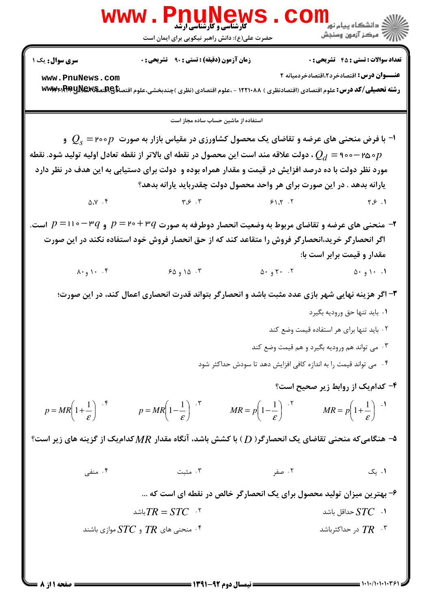

**: نیمسال دوم ۹۲-۱۳۹۱ =** 

**صفحه ۱ از 8 =** 

۶– بهترین میزان تولید محصول برای یک انحصار گر خالص در نقطه ای است که … اشد $TR = STC$ د  $STC$  حداقل باشد  $\Gamma$ ۰۴ منحنی های  $T\!R$  و  $STC$ موازی باشند  $^{\mathfrak k}$ در حداکثرباشد  $T R$   $\cdot$  "

۰۴ منفی ۰۳ مثبت ۰۲ صفر ۰۱ یک

ه- هنگامیکه منحنی تقاضای یک انحصارگر( ( )) با کشش باشد، آنگاه مقدار  $MR$  کدام یک از گزینه های زیر است؟  $\bullet$ 

 $p = MR\left(1+\frac{1}{\epsilon}\right)^{4}$   $p = MR\left(1-\frac{1}{\epsilon}\right)^{4}$   $MR = p\left(1-\frac{1}{\epsilon}\right)^{4}$   $MR = p\left(1+\frac{1}{\epsilon}\right)^{4}$ 

۰۴ می تواند قیمت را به اندازه کافی افزایش دهد تا سودش حداکثر شود ۴- کدام یک از روابط زیر صحیح است؟

۳- اگر هزینه نهایی شهر بازی عدد مثبت باشد و انحصارگر بتواند قدرت انحصاری اعمال کند، در این صورت؛ ۰۱ باید تنها حق ورودیه بگیرد ٢. بايد تنها براي هر استفاده قيمت وضع كند

اگر انحصارگر خرید،انحصارگر فروش را متقاعد کند که از حق انحصار فروش خود استفاده نکند در این صورت مقدار و قیمت برابر است با:  $\lambda \cdot g \cdot \cdot f$  $\Delta$   $\cdot$   $\theta$   $\gamma$   $\cdot$   $\cdot$   $\gamma$ ۶۵ و ۶۵  $0.91.1$ 

 $\Delta$ . $Y$ .  $Y$  $\mathbf{y} \in \mathcal{X}$  $Y.S.$  $91.7.7$ ۳- منحنی های عرضه و تقاضای مربوط به وضعیت انحصار دوطرفه به صورت  $p$ ۳۰ + ۲۰ و  $p$ ۳۰ - ۱۱۰ = ۱ $p$  است.

اون منحنی های عرضه و تقاضای یک محصول کشاورزی در مقیاس بازار به صورت  $p$ ۰۰ = ۲۰۰ و  $Q_{\rm s} = Q_{\rm s}$ ه ۲۵۵ – ۹۰۰ ولت علاقه مند است این محصول در نقطه ای بالاتر از نقطه تعادل اولیه تولید شود. نقطه  $\rho_d =$ ۹۰۰ وات مورد نظر دولت با ده درصد افزایش در قیمت و مقدار همراه بوده و دولت برای دستیابی به این هدف در نظر دارد یارانه بدهد . در این صورت برای هر واحد محصول دولت چقدرباید یارانه بدهد؟

استفاده از ماشین حساب ساده مجاز است

www.PnuNews.com رشته تحصیلی/کد درس: علوم اقتصادی (اقتصادنظری ) ۱۲۲۱۰۸۸ - ،علوم اقتصادی (نظری )چندبخشی،علوم اقتصا<del>تای AS</del> AB و www:RA

حضرت علی(ع): دانش راهبر نیکویی برای ایمان است

**زمان آزمون (دقیقه) : تستی : ۹۰٪ تشریحی: .** 

**سری سوال :** یک ۱

**تعداد سوالات : تستي : 45 ٪ تشريحي : 0** 

عنــوان درس: اقتصادخرد2،اقتصادخردمیانه ٢

۰۳ می تواند هم ورودیه بگیرد و هم قیمت وضع کند

WWW.PnuMews.Com اللاسم مركز آزمون وسنجش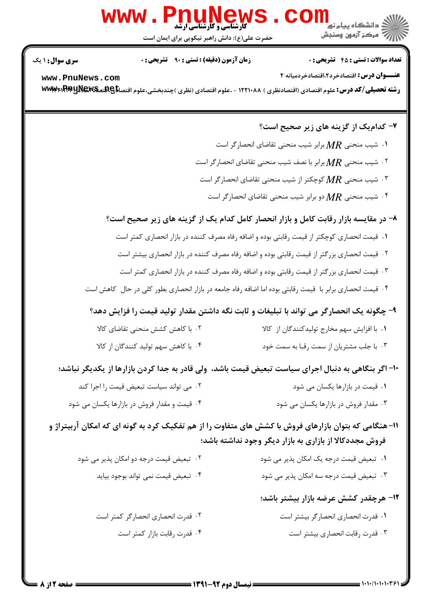## $\overline{\text{com}}$ ; دانشگاه پیام نور WWW.PnuNews

حضرت علی(ع): دانش راهبر نیکویی برای ایمان است

**تعداد سوالات : تستي : 45 ٪ تشريحي : 0** 

الآرآ مركز آزمون وسنجش

**زمان آزمون (دقیقه) : تستی : ۹۰ تشریحی: 0** 

**سری سوال :** ۱ یک

عنــوان درس: اقتصادخرد2،اقتصادخردمیانه ٢ www.PnuNews.com رشته تحصیلی/کد درس: علوم اقتصادی (اقتصادنظری ) ۱۲۲۱۰۸۸ - ،علوم اقتصادی (نظری )چندبخشی،علوم اقتصا<del>تا</del> A ABMA و www

۷- کدامیک از گزینه های زیر صحیح است؟ ۰۱ شیب منحنی  $MR$  برابر شیب منحنی تقاضای انحصار گر است  $\cdot$ ۰۲ شیب منحنی  $MR$  برابر با نصف شیب منحنی تقاضای انحصار گر است  $\cdot$ ۰۳ شیب منحنی  $MR$  کوچکتر از شیب منحنی تقاضای انحصار گر است  $\cdot$ ۰۴ شیب منحنی  $MR$  دو برابر شیب منحنی تقاضای انحصار گر است $\cdot$ ۴ ۸– در مقایسه بازار رقابت کامل و بازار انحصار کامل کدام یک از گزینه های زیر صحیح است؟ ٠١ قيمت انحصاري كوچكتر از قيمت رقابتي بوده و اضافه رفاه مصرف كننده در بازار انحصاري كمتر است ۰۲ قیمت انحصاری بزرگتر از قیمت رقابتی بوده و اضافه رفاه مصرف کننده در بازار انحصاری بیشتر است ۰۳ قیمت انحصاری بزرگتر از قیمت رقابتی بوده و اضافه رفاه مصرف کننده در بازار انحصاری کمتر است ۰۴ قیمت انحصاری برابر با قیمت رقابتی بوده اما اضافه رفاه جامعه در بازار انحصاری بطور کلی در حال کاهش است ۹- چگونه یک انحصارگر می تواند با تبلیغات و ثابت نگه داشتن مقدار تولید قیمت را فزایش دهد؟ ٢. با كاهش كشش منحنى تقاضاى كالا ۰۱ با افزایش سهم مخارج تولیدکنندگان از کالا ۰۴ با کاهش سهم تولید کنندگان از کالا ۰۳ با جلب مشتریان از سمت رقبا به سمت خود ۱۰– اگر بنگاهی به دنبال اجرای سیاست تبعیض قیمت باشد، ولی قادر به جدا کردن بازارها از یکدیگر نباشد؛ ٢. می تواند سیاست تبعیض قیمت را اجرا کند ۰۱ قیمت در بازارها یکسان می شود ۰۴ قیمت و مقدار فروش در بازارها یکسان می شود ۰۳ مقدار فروش در بازارها یکسان می شود 11- هنگامی که بتوان بازارهای فروش با کشش های متفاوت را از هم تفکیک کرد به گونه ای که امکان آربیتراژ و فروش مجددکالا از بازاری به بازار دیگر وجود نداشته باشد؛ ۰۱ تبعیض قیمت درجه یک امکان پذیر می شود ۰۲ تبعیض قیمت درجه دو امکان پذیر می شود

۰۴ تبعیض قیمت نمی تواند بوجود بیاید ۰۳ تبعیض قیمت درجه سه امکان پذیر می شود

۱۲- هرچقدر کشش عرضه بازار بیشتر باشد؛

٠١ قدرت انحصاري انحصار گر بيشتر است ٠٢ قدرت انحصاري انحصار گر كمتر است ۰۴ قدرت رقابت بازار کمتر است ۰۳ قدرت رقابت انحصاری بیشتر است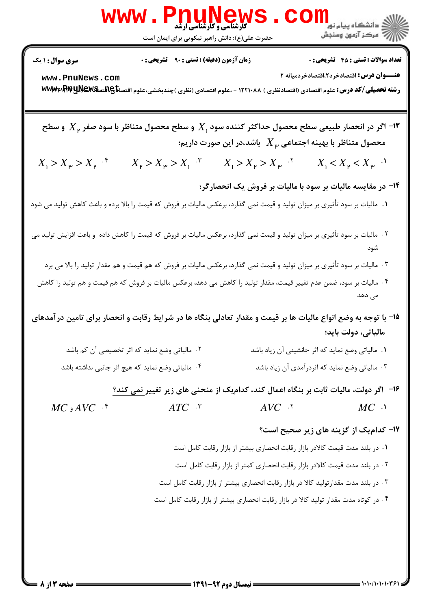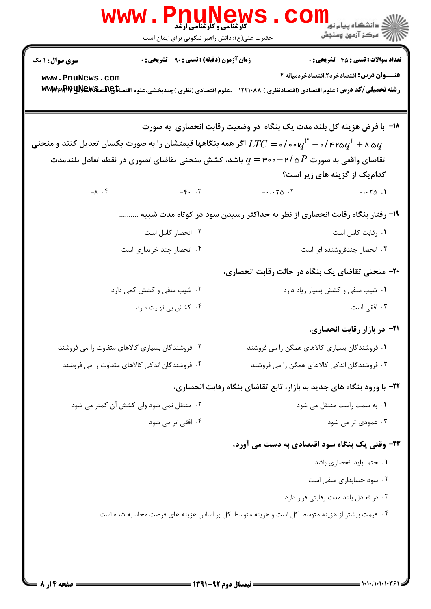| w w w                                                                                                                                                      | <b>کارشناسی و کارشناسی ارشد</b><br>حضرت علی(ع): دانش راهبر نیکویی برای ایمان است |                                                                                            | ڪ دانشڪاه پيام نور<br>ر <i>7</i> مرڪز آزمون وسنڊش                          |
|------------------------------------------------------------------------------------------------------------------------------------------------------------|----------------------------------------------------------------------------------|--------------------------------------------------------------------------------------------|----------------------------------------------------------------------------|
| <b>سری سوال : ۱ یک</b>                                                                                                                                     | <b>زمان آزمون (دقیقه) : تستی : ۹۰ قشریحی : 0</b>                                 |                                                                                            | <b>تعداد سوالات : تستي : 45 گشريحي : 0</b>                                 |
| www.PnuNews.com<br><b>رشته تحصیلی/کد درس:</b> علوم اقتصادی (اقتصادنظری ) ۱۲۲۱۰۸۸ - ،علوم اقتصادی (نظری )چندبخشی،علوم اقتصا <del>تا</del> A بهکلیل www:Prp  |                                                                                  |                                                                                            | <b>عنـــوان درس:</b> اقتصادخرد2،اقتصادخردمیانه ۲                           |
|                                                                                                                                                            |                                                                                  | ۱۸− با فرض هزینه کل بلند مدت یک بنگاه در وضعیت رقابت انحصاری به صورت                       |                                                                            |
| ه ۲ $q^{\,\texttt{F}}$ ه ۲۹/۹ $q^{\,\texttt{F}}$ ه ۱۰/۰۰ $q^{\,\texttt{F}}$ اگر همه بنگاهها قیمتشان را به صورت یکسان تعدیل کنند و منحنی $q^{\,\texttt{F}}$ |                                                                                  |                                                                                            |                                                                            |
|                                                                                                                                                            |                                                                                  | تقاضای واقعی به صورت ۳/ ۵ $P$ - ۳۰۰ باشد، کشش منحنی تقاضای تصوری در نقطه تعادل بلندمدت $q$ |                                                                            |
|                                                                                                                                                            |                                                                                  |                                                                                            | کدامیک از گزینه های زیر است؟                                               |
|                                                                                                                                                            | $-\lambda$ . $\zeta$                                                             | $- \cdot \cdot \cdot \cdot \wedge \cdot \cdot \cdot$                                       | $\cdots$ $\uparrow$ $\uparrow$ $\uparrow$ $\uparrow$ $\uparrow$ $\uparrow$ |
|                                                                                                                                                            |                                                                                  | ۱۹- رفتار بنگاه رقابت انحصاری از نظر به حداکثر رسیدن سود در کوتاه مدت شبیه                 |                                                                            |
|                                                                                                                                                            | ۰۲ انحصار کامل است                                                               |                                                                                            | ٠١. رقابت كامل است                                                         |
|                                                                                                                                                            | ۰۴ انحصار چند خریداری است                                                        |                                                                                            | ۰۳ انحصار چندفروشنده ای است                                                |
|                                                                                                                                                            |                                                                                  | <b>۲۰</b> - منحنی تقاضای یک بنگاه در حالت رقابت انحصاری،                                   |                                                                            |
|                                                                                                                                                            | ۰۲ شیب منفی و کشش کمی دارد                                                       |                                                                                            | ٠١ شيب منفى و كشش بسيار زياد دارد                                          |
|                                                                                                                                                            | ۰۴ کشش بی نهایت دارد                                                             |                                                                                            | ۰۳ افقی است                                                                |
|                                                                                                                                                            |                                                                                  |                                                                                            | <b>۳۱</b> - در بازار رقابت انحصاری،                                        |
| ۰۲ فروشندگان بسیاری کالاهای متفاوت را می فروشند                                                                                                            |                                                                                  | ۰۱ فروشندگان بسیاری کالاهای همگن را می فروشند                                              |                                                                            |
| ۰۴ فروشندگان اندکی کالاهای متفاوت را می فروشند                                                                                                             |                                                                                  | ۰۳ فروشندگان اندکی کالاهای همگن را می فروشند                                               |                                                                            |
|                                                                                                                                                            |                                                                                  | ۲۲- با ورود بنگاه های جدید به بازار، تابع تقاضای بنگاه رقابت انحصاری،                      |                                                                            |
| ۰۲ منتقل نمی شود ولی کشش آن کمتر می شود                                                                                                                    |                                                                                  |                                                                                            | ٠١. به سمت راست منتقل مي شود                                               |
|                                                                                                                                                            | ۰۴ افقی تر می شود                                                                |                                                                                            | ۰۳ عمودی تر می شود                                                         |
|                                                                                                                                                            |                                                                                  | ۲۳- وقتی یک بنگاه سود اقتصادی به دست می آورد،                                              |                                                                            |
|                                                                                                                                                            |                                                                                  |                                                                                            | ٠١ حتما بايد انحصاري باشد                                                  |
|                                                                                                                                                            |                                                                                  |                                                                                            | ۰۲ سود حسابداری منفی است                                                   |
|                                                                                                                                                            |                                                                                  |                                                                                            | ۰۳ در تعادل بلند مدت رقابتی قرار دارد                                      |
|                                                                                                                                                            |                                                                                  | ۰۴ قیمت بیشتر از هزینه متوسط کل است و هزینه متوسط کل بر اساس هزینه های فرصت محاسبه شده است |                                                                            |
|                                                                                                                                                            |                                                                                  |                                                                                            |                                                                            |
|                                                                                                                                                            |                                                                                  |                                                                                            |                                                                            |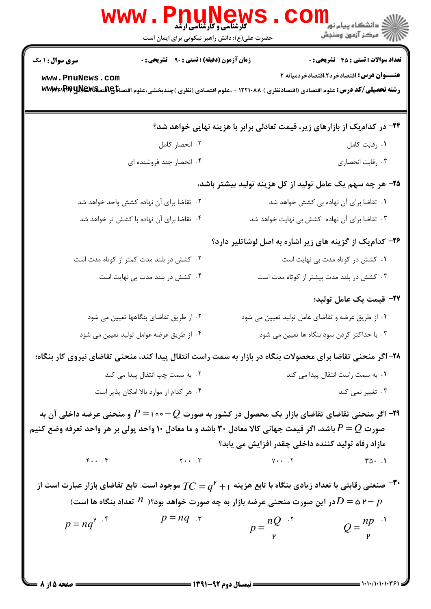|                                           | Www.PnuNews<br>حضرت علی(ع): دانش راهبر نیکویی برای ایمان است                                                                                                                                                                                       |                    | ڪ دانشڪاه پيام نور ■<br> 7- مرکز آزمون وسنڊش                                                   |
|-------------------------------------------|----------------------------------------------------------------------------------------------------------------------------------------------------------------------------------------------------------------------------------------------------|--------------------|------------------------------------------------------------------------------------------------|
| <b>سری سوال : ۱ یک</b><br>www.PnuNews.com | <b>زمان آزمون (دقیقه) : تستی : ۹۰٪ تشریحی : 0</b><br>رشته تحصیلی/کد درس: علوم اقتصادی (اقتصادنظری ) ۱۲۲۱۰۸۸ - ،علوم اقتصادی (نظری )چندبخشی،علوم اقتصا <del>تا</del> @Rیتص <b>EMSلیا www</b> p                                                      |                    | <b>تعداد سوالات : تستي : 45 گشريحي : 0</b><br><b>عنـــوان درس:</b> اقتصادخرد2،اقتصادخردمیانه ۲ |
|                                           |                                                                                                                                                                                                                                                    |                    | ۲۴- در کدام یک از بازارهای زیر، قیمت تعادلی برابر با هزینه نهایی خواهد شد؟                     |
|                                           | ۰۲ انحصار کامل                                                                                                                                                                                                                                     |                    | ۰۱ رقابت کامل                                                                                  |
|                                           | ۰۴ انحصار چند فروشنده ای                                                                                                                                                                                                                           |                    | ۰۳ رقابت انحصاري                                                                               |
|                                           |                                                                                                                                                                                                                                                    |                    | ۲۵- هر چه سهم یک عامل تولید از کل هزینه تولید بیشتر باشد،                                      |
|                                           | ۰۲ تقاضا برای آن نهاده کشش واحد خواهد شد                                                                                                                                                                                                           |                    | ٠١ تقاضا براى آن نهاده بى كشش خواهد شد                                                         |
|                                           | ۰۴ تقاضا برای آن نهاده با کشش تر خواهد شد                                                                                                                                                                                                          |                    | ۰۳ تقاضا برای آن نهاده کشش بی نهایت خواهد شد                                                   |
|                                           |                                                                                                                                                                                                                                                    |                    | ۲۶- کدام یک از گزینه های زیر اشاره به اصل لوشاتلیر دارد؟                                       |
|                                           | ۰۲ کشش در بلند مدت کمتر از کوتاه مدت است                                                                                                                                                                                                           |                    | ٠١ كشش در كوتاه مدت بي نهايت است                                                               |
|                                           | ۰۴ کشش در بلند مدت بی نهایت است                                                                                                                                                                                                                    |                    | ۰۳ کشش در بلند مدت بیشتر از کوتاه مدت است                                                      |
|                                           |                                                                                                                                                                                                                                                    |                    | ٢٧- قيمت يک عامل توليد؛                                                                        |
|                                           | ۰۲ از طریق تقاضای بنگاهها تعیین می شود                                                                                                                                                                                                             |                    | ۰۱ از طریق عرضه و تقاضای عامل تولید تعیین می شود                                               |
|                                           | ۰۴ از طریق عرضه عوامل تولید تعیین می شود                                                                                                                                                                                                           |                    | ۰۳ با حداکثر کردن سود بنگاه ها تعیین می شود                                                    |
|                                           | ۲۸– اگر منحنی تقاضا برای محصولات بنگاه در بازار به سمت راست انتقال پیدا کند، منحنی تقاضای نیروی کار بنگاه؛                                                                                                                                         |                    |                                                                                                |
|                                           | ۰۲ به سمت چپ انتقال پیدا می کند                                                                                                                                                                                                                    |                    | ۰۱ به سمت راست انتقال پیدا می کند                                                              |
| ۰۴ هر کدام از موارد بالا امکان پذیر است   |                                                                                                                                                                                                                                                    | ۰۳ تغییر نمی کند   |                                                                                                |
|                                           | ۹۹– اگر منحنی تقاضای تقاضای بازار یک محصول در کشور به صورت $-Q$ -۰۰۰ ا $P=1$ و منحنی عرضه داخلی آن به<br>صورت $P=Q$ باشد، اگر قیمت جهانی کالا معادل ۳۰ باشد و ما معادل ۱۰ واحد پولی بر هر واحد تعرفه وضع کنیم                                      |                    | مازاد رفاه تولید کننده داخلی چقدر افزایش می یابد؟                                              |
| $F \cdot \cdot \cdot$                     | $\gamma \cdot \cdot \cdot \cdot$ $\gamma \cdot \cdot \cdot$ $\gamma \cdot \cdot \cdot$ $\gamma \cdot \cdot \cdot$ $\gamma \cdot \cdot \cdot$                                                                                                       |                    |                                                                                                |
| $p = nq^{r}$                              | صنعتی رقابتی با تعداد زیادی بنگاه با تابع هزینه $q^{\mathsf{P}}+T$ موجود است. تابع تقاضای بازار عبارت است از $\mathsf{P}^\bullet$<br>در این صورت منحنی عرضه بازار به چه صورت خواهد بود؟( $n$ تعداد بنگاه ها است) $D$ = ۵ ۲ $\,$ $\,$<br>$p = nq$ . | $p = \frac{nQ}{r}$ | $Q = \frac{np}{r}$                                                                             |
|                                           | $\frac{1}{2}$ (29) $-97$ and thus if $\frac{1}{2}$                                                                                                                                                                                                 |                    |                                                                                                |

**= صفحه 5 از 8 =**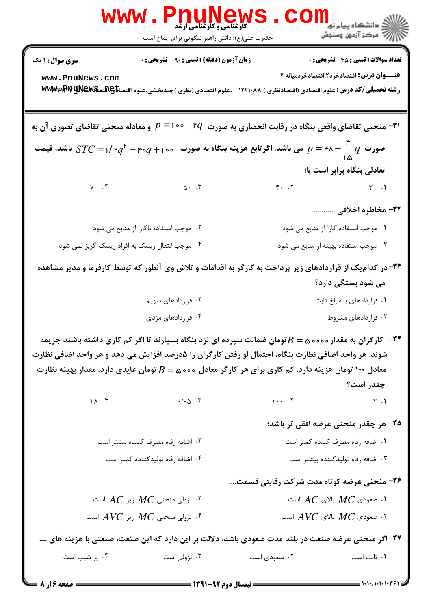|                                                                                                                         | <b>5 کارشناسی و کارشناسی ارشد</b><br>حضرت علی(ع): دانش راهبر نیکویی برای ایمان است                                                                                                                              |                                                       | ري دانشڪاه پيام نور <mark>−ا</mark><br>ا∛ مرکز آزمون وسنجش |
|-------------------------------------------------------------------------------------------------------------------------|-----------------------------------------------------------------------------------------------------------------------------------------------------------------------------------------------------------------|-------------------------------------------------------|------------------------------------------------------------|
| <b>سری سوال :</b> ۱ یک                                                                                                  | <b>زمان آزمون (دقیقه) : تستی : ۹۰٪ تشریحی : 0</b>                                                                                                                                                               |                                                       | <b>تعداد سوالات : تستی : 45 گشریحی : 0</b>                 |
| www.PnuNews.com                                                                                                         | رشته تحصیلی/کد درس: علوم اقتصادی (اقتصادنظری ) ۱۲۲۱۰۸۸ - ،علوم اقتصادی (نظری )چندبخشی،علوم اقتصا <del>تای AG</del> هت <b>یکیا www</b> p                                                                         |                                                       | <b>عنـــوان درس:</b> اقتصادخرد۲،اقتصادخردمیانه ۲           |
|                                                                                                                         | ۰۳۱ منحنی تقاضای واقعی بنگاه در رقابت انحصاری به صورت $q$ ۲ $\circ$ ۱۰۰ ه $p=1$ و معادله منحنی تقاضای تصوری آن به $\bullet$                                                                                     |                                                       |                                                            |
|                                                                                                                         | صورت $p = \mathsf{r}$ جس باشد. اگر تابع هزینه بنگاه به صورت $q+\mathsf{r}\circ q+\mathsf{r}\circ q$ اشد، قیمت $p = \mathsf{r}$ باشد، قیمت                                                                       |                                                       |                                                            |
|                                                                                                                         |                                                                                                                                                                                                                 |                                                       | تعادلی بنگاه برابر است با؛                                 |
| $\gamma$ . . $\mathfrak{f}$                                                                                             | $\Delta$ . $\cdot$                                                                                                                                                                                              |                                                       | $F. .7$ $T'.1$                                             |
|                                                                                                                         |                                                                                                                                                                                                                 |                                                       | ۳۲- مخاطره اخلاقی                                          |
|                                                                                                                         | ٠٢ موجب استفاده ناكارا از منابع مى شود                                                                                                                                                                          |                                                       | ۰۱ موجب استفاده کارا از منابع می شود                       |
|                                                                                                                         | ۰۴ موجب انتقال ریسک به افراد ریسک گریز نمی شود                                                                                                                                                                  |                                                       | ۰۳ موجب استفاده بهینه از منابع می شود                      |
|                                                                                                                         | ۳۳- در کدام یک از قراردادهای زیر پرداخت به کارگر به اقدامات و تلاش وی آنطور که توسط کارفرما و مدیر مشاهده                                                                                                       |                                                       |                                                            |
|                                                                                                                         |                                                                                                                                                                                                                 |                                                       | می شود بستگی دارد؟                                         |
|                                                                                                                         | ۰۲ قراردادهای سهیم                                                                                                                                                                                              |                                                       | ۰۱ قراردادهای با مبلغ ثابت                                 |
|                                                                                                                         | ۰۴ قراردادهای مزدی                                                                                                                                                                                              |                                                       | ۰۳ قراردادهای مشروط                                        |
|                                                                                                                         | ۳۴ - کارگران به مقدار ۵۰۰۰۵ $B$ تومان ضمانت سپرده ای نزد بنگاه بسپارند تا اگر کم کاری داشته باشند جریمه<br>شوند. هر واحد اضافی نظارت بنگاه، احتمال لو رفتن کارگران را ۵درصد افزایش می دهد و هر واحد اضافی نظارت |                                                       |                                                            |
|                                                                                                                         | معادل ۱۰۰ تومان هزینه دارد. کم کاری برای هر کارگر معادل ۵۰۰۵ $\Delta = B$ تومان عایدی دارد. مقدار بهینه نظارت                                                                                                   |                                                       |                                                            |
|                                                                                                                         |                                                                                                                                                                                                                 |                                                       | چقدر است؟                                                  |
|                                                                                                                         | $\gamma$ $\lambda$ $\cdot$ $\gamma$                                                                                                                                                                             | $1 \cdot \cdot \cdot$ $\cdot$ $\cdot$ $\cdot$ $\cdot$ | $\gamma$ . $\gamma$                                        |
|                                                                                                                         |                                                                                                                                                                                                                 |                                                       | ۳۵- هر چقدر منحنی عرضه افقی تر باشد؛                       |
|                                                                                                                         | ۰۲ اضافه رفاه مصرف کننده بیشتر است                                                                                                                                                                              |                                                       | ٠١ اضافه رفاه مصرف كننده كمتر است                          |
|                                                                                                                         | ۰۴ اضافه رفاه تولیدکننده کمتر است                                                                                                                                                                               |                                                       | ۰۳ اضافه رفاه تولیدکننده بیشتر است                         |
|                                                                                                                         |                                                                                                                                                                                                                 | ۳۶- منحنی عرضه کوتاه مدت شرکت رقابتی قسمت             |                                                            |
|                                                                                                                         | ۰۲ نزولی منحنی $MC$ زیر $AC$ است $\cdot$                                                                                                                                                                        |                                                       | ا. صعودی $MC$ بالای $AC$ است $\,$                          |
| ٹرولی منحنی $MC$ زیر $\cal{A}VC$ است $^*$<br>است $\overline{A}V\overline{C}$ بالای $\overline{A}V\overline{C}$ است $^,$ |                                                                                                                                                                                                                 |                                                       |                                                            |
| ۳۷–اگر منحنی عرضه صنعت در بلند مدت صعودی باشد، دلالت بر این دارد که این صنعت، صنعتی با هزینه های                        |                                                                                                                                                                                                                 |                                                       |                                                            |
| ۰۴ پر شیب است                                                                                                           | ۰۳ نزولی است                                                                                                                                                                                                    | ۰۲ صعودی است                                          | ٠١ ثابت است                                                |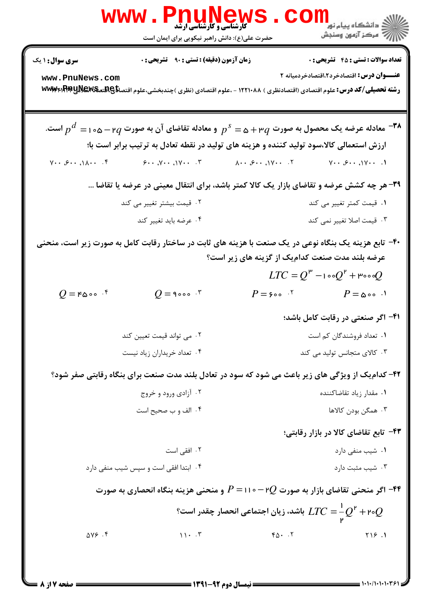|                                                                          | <b>WWW.PnuNews</b><br>حضرت علی(ع): دانش راهبر نیکویی برای ایمان است |                                                                                                                                                          | ر دانشکاه پيام نور ■<br>ا∛ مرکز آزمون وسنجش                                   |
|--------------------------------------------------------------------------|---------------------------------------------------------------------|----------------------------------------------------------------------------------------------------------------------------------------------------------|-------------------------------------------------------------------------------|
| <b>سری سوال : ۱ یک</b>                                                   | <b>زمان آزمون (دقیقه) : تستی : ۹۰ قشریحی : 0</b>                    |                                                                                                                                                          | <b>تعداد سوالات : تستي : 45 گشريحي : 0</b>                                    |
| www.PnuNews.com                                                          |                                                                     | <b>رشته تحصیلی/کد درس:</b> علوم اقتصادی (اقتصادنظری ) ۱۲۲۱۰۸۸ - ،علوم اقتصادی (نظری )چندبخشی،علوم اقتصا <del>تا@AE تهMA</del> ا <del>۲۳</del> ۳ ا۳۳۳     | <b>عنــــوان درس:</b> اقتصادخرد۲،اقتصادخردمیانه ۲                             |
|                                                                          |                                                                     | است. $p^a =$ ه معادله عرضه یک محصول به صورت $p^{\, \varsigma} =$ $p^{\, \varsigma} = 1$ و معادله تقاضای آن به صورت $q$ ۲۸ $p^a = p$ است.                 |                                                                               |
|                                                                          |                                                                     | ارزش استعمالی کالا،سود تولید کننده و هزینه های تولید در نقطه تعادل به ترتیب برابر است با؛                                                                |                                                                               |
| $Y \cdot \cdot \mathcal{S} \cdot \cdot \cdot \wedge \cdot \cdot \cdot Y$ | $9.04 \cdot \sqrt{111} \cdot \sqrt{111}$                            | $\lambda \cdot \cdot \cdot \mathcal{S} \cdot \cdot \cdot \cdot \setminus \lambda$                                                                        | $V \cdot \cdot \mathcal{S} \cdot \cdot \cdot \cdot V \cdot \cdot \cdot \cdot$ |
|                                                                          |                                                                     | ۳۹- هر چه کشش عرضه و تقاضای بازار یک کالا کمتر باشد، برای انتقال معینی در عرضه یا تقاضا …                                                                |                                                                               |
|                                                                          | ۰۲ قیمت بیشتر تغییر می کند                                          | ۰۱ قیمت کمتر تغییر می کند                                                                                                                                |                                                                               |
|                                                                          | ۰۴ عرضه بايد تغيير كند                                              |                                                                                                                                                          | ۰۳ قیمت اصلا تغییر نمی کند                                                    |
|                                                                          |                                                                     | ۴۰– تابع هزینه یک بنگاه نوعی در یک صنعت با هزینه های ثابت در ساختار رقابت کامل به صورت زیر است، منحنی<br>عرضه بلند مدت صنعت کدامیک از گزینه های زیر است؟ |                                                                               |
|                                                                          |                                                                     |                                                                                                                                                          | $LTC = Q^{\mu} - 1 \circ Q^{\nu} + \mu \circ \circ Q$                         |
| $Q = \texttt{F\omega\circ\circ}$ .                                       | $Q = \texttt{9000}$ .                                               | $P = 500 \cdot N$ $P = \omega 00 \cdot N$                                                                                                                |                                                                               |
|                                                                          |                                                                     |                                                                                                                                                          | ۴۱- اگر صنعتی در رقابت کامل باشد؛                                             |
|                                                                          | ۰۲ می تواند قیمت تعیین کند                                          |                                                                                                                                                          | ۰۱ تعداد فروشندگان کم است                                                     |
|                                                                          | ۰۴ تعداد خریداران زیاد نیست                                         | ۰۳ کالای متجانس تولید می کند                                                                                                                             |                                                                               |
|                                                                          |                                                                     | ۴۲- کدام یک از ویژگی های زیر باعث می شود که سود در تعادل بلند مدت صنعت برای بنگاه رقابتی صفر شود؟                                                        |                                                                               |
|                                                                          | ۰۲ آزادی ورود و خروج                                                | ۰۱ مقدار زیاد تقاضاکننده                                                                                                                                 |                                                                               |
|                                                                          | ۰۴ الف و ب صحيح است                                                 |                                                                                                                                                          | ۰۳ همگن بودن کالاها                                                           |
|                                                                          |                                                                     |                                                                                                                                                          | ۴۳- تابع تقاضای کالا در بازار رقابتی؛                                         |
|                                                                          | ۰۲ افقی است                                                         |                                                                                                                                                          | ۰۱ شیب منفی دارد                                                              |
|                                                                          | ۰۴ ابتدا افقی است و سپس شیب منفی دارد                               |                                                                                                                                                          | ۰۳ شیب مثبت دارد                                                              |
|                                                                          |                                                                     | ۹۴– اگر منحنی تقاضای بازار به صورت $Q$ ۲– ۱۱۰– ۹ و منحنی هزینه بنگاه انحصاری به صورت $\bullet$ ۴۴–                                                       |                                                                               |
|                                                                          |                                                                     | اشد، زیان اجتماعی انحصار چقدر است؟ $LTC = ^1\!\!Q^{\mathsf{r}} +$ ۲۰ $Q$                                                                                 |                                                                               |
| $\Delta V$ $\epsilon$ .                                                  | $11 \cdot 7$                                                        | $Y \Delta \cdot \cdot \cdot Y$                                                                                                                           | Y19.1                                                                         |
|                                                                          |                                                                     |                                                                                                                                                          |                                                                               |

 $= 1.1 - 1.1 - 1.1 + 1.75$